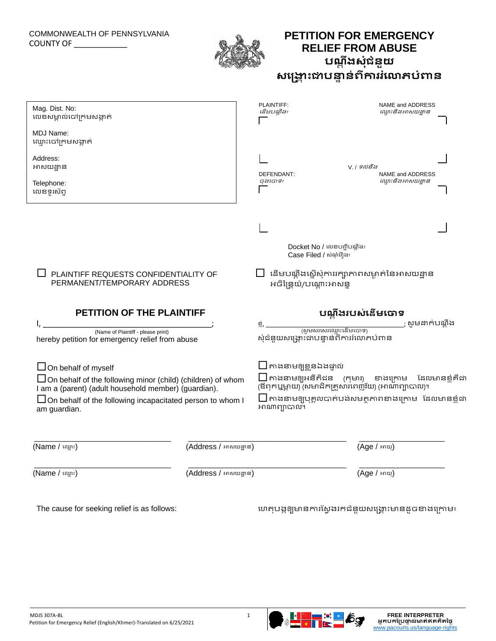## COMMONWEALTH OF PENNSYLVANIA COUNTY OF \_\_\_\_\_\_\_\_\_\_\_\_



## **PETITION FOR EMERGENCY RELIEF FROM ABUSE បណ្តតង ត ត ត សត ត ជតនតយ ត ត ត សង្គ្ត ោះ ត តតត តជាបន្ទតនតពតការរត ត ត ត ត ត ត តត ង្ោភបតពាន តត ត ត ត ត**

| Mag. Dist. No:<br>លេខសម្គាល់ចៅក្រមសង្កាត់                                                                                                                                                                                                    | PLAINTIFF:<br>ដើមបណ្ឌឹង៖ | NAME and ADDRESS<br>ឈ្មោះនិងអាសយដ្ឋាន                                                                                                                                                                            |  |
|----------------------------------------------------------------------------------------------------------------------------------------------------------------------------------------------------------------------------------------------|--------------------------|------------------------------------------------------------------------------------------------------------------------------------------------------------------------------------------------------------------|--|
| MDJ Name:<br>ឈ្មោះចៅក្រមសង្កាត់                                                                                                                                                                                                              |                          |                                                                                                                                                                                                                  |  |
| Address:<br>អាសយដ្ឋាន                                                                                                                                                                                                                        | DEFENDANT:               | V. / ទល់នឹង<br>NAME and ADDRESS                                                                                                                                                                                  |  |
| Telephone:<br>លេខទូរស័ព្ទ                                                                                                                                                                                                                    | ចុងចោទ៖                  | ឈ្មោះនិងអាសយដ្ឋាន                                                                                                                                                                                                |  |
|                                                                                                                                                                                                                                              |                          |                                                                                                                                                                                                                  |  |
|                                                                                                                                                                                                                                              |                          | Docket No / លេខបញ្ជីបណ្ឌីង៖<br>Case Filed / សំណុំរឿង៖                                                                                                                                                            |  |
| PLAINTIFF REQUESTS CONFIDENTIALITY OF<br>PERMANENT/TEMPORARY ADDRESS                                                                                                                                                                         | អចិន្រ្ទៃយ៍/បណ្តោះអាសន្ន | $\Box$ ដើមបណ្តឹងស្តើសុំការរក្សាភាពសម្ងាត់នៃអាសយដ្ឋាន                                                                                                                                                             |  |
| <b>PETITION OF THE PLAINTIFF</b>                                                                                                                                                                                                             |                          | បណ្តឹងរបស់នើមចោទ                                                                                                                                                                                                 |  |
| (Name of Plaintiff - please print)<br>hereby petition for emergency relief from abuse                                                                                                                                                        |                          | ; សូមដាក់បណ្តឹង<br>សុំជំនួយសង្គ្រោះដាបន្ទាន់ពីការរំលោភបំពាន                                                                                                                                                      |  |
| $\Box$ On behalf of myself<br>$\Box$ On behalf of the following minor (child) (children) of whom<br>I am a (parent) (adult household member) (guardian).<br>$\Box$ On behalf of the following incapacitated person to whom I<br>am guardian. | អាណាព្យាបាល។             | $\Box$ កាងនាមឲ្យខ្លួនឯងផ្ទាល់<br>$\Box$ តាងនាមឲ្យអនីតិដន (កុមារ) ខាងក្រោម ដែលមានខ្ញុំគីជា<br>(ឪពុកឬម្នាយ) (សមាជិកគ្រូសារពេញវ័យ) (អាណាព្យាបាល)។<br>$\square$ តាងនាមឲ្យបុគ្គលបាត់បង់សមត្ថភាពខាងក្រោម ដែលមានខ្ញុំដា |  |
| (Name / ឈ្មោះ)                                                                                                                                                                                                                               | (Address / អាសយដ្ឋាន)    | (Age / អាយុ)                                                                                                                                                                                                     |  |
|                                                                                                                                                                                                                                              |                          |                                                                                                                                                                                                                  |  |
| (Name / ឈ្មោះ)                                                                                                                                                                                                                               | (Address / អាសយដ្ឋាន)    | (Age / អាយុ)                                                                                                                                                                                                     |  |

The cause for seeking relief is as follows: លេតជបងជឲ្យមានកា ដសជង ក ជជ ជ ជ ជ ជ ជជ ជ ជ ជជជ ជ ជជ ជជនជយ ជ ជ ជ សលគ្ជ ោះ ជ ជជជ ជមាន ជចខាងលគកាម៖ ជ ជ ជ ជ ជ ជ ជជជ ជ ជ